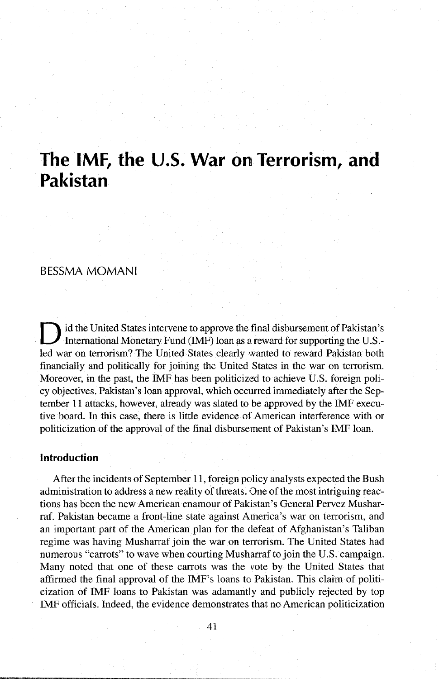# **The IMF, the U.S. War on Terrorism, and Pakistan**

# BESSMA MOMANI

id the United States intervene to approve the final disbursement of Pakistan's International Monetary Fund (IMF) loan as a reward for supporting the U.S. led war on terrorism? The United States clearly wanted to reward Pakistan both financially and politically for joining the United States in the war on terrorism. Moreover, in the past, the IMF has been politicized to achieve U.S. foreign policy objectives. Pakistan's loan approval, which occurred immediately after the September 11 attacks, however, already was slated to be approved by the IMF executive board. In this case, there is little evidence of American interference with or politicization of the approval of the final disbursement of Pakistan's IMF loan.

# **Introduction**

After the incidents of September 11, foreign policy analysts expected the Bush administration to address a new reality of threats. One of the most intriguing reactions has been the new American enamour of Pakistan's General Pervez Musharraf. Pakistan became a front-line state against America's war on terrorism, and an important part of the American plan for the defeat of Afghanistan's Taliban regime was having Musharraf join the war on terrorism. The United States had numerous "carrots" to wave when courting Musharraf to join the U.S. campaign. Many noted that one of these carrots was the vote by the United States that affirmed the final approval of the IMF's loans to Pakistan. This claim of politicization of IMF loans to Pakistan was adamantly and publicly rejected by top IMF officials. Indeed, the evidence demonstrates that no American politicization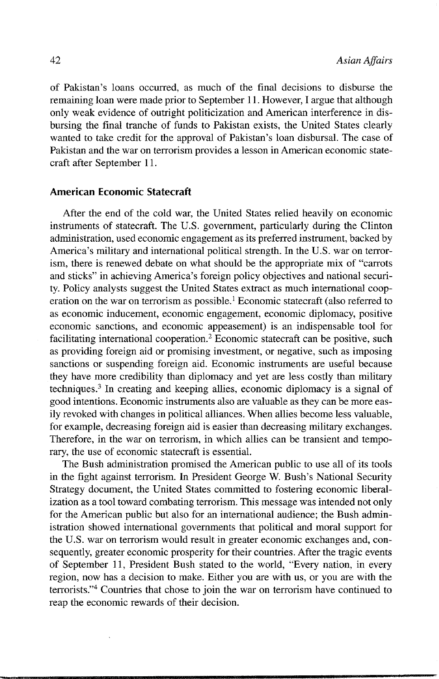of Pakistan's loans occurred, as much of the final decisions to disburse the remaining loan were made prior to September 11. However, I argue that although only weak evidence of outright politicization and American interference in disbursing the final tranche of funds to Pakistan exists, the United States clearly wanted to take credit for the approval of Pakistan's loan disbursal. The case of Pakistan and the war on terrorism provides a lesson in American economic statecraft after September 11.

# **American Economic Statecraft**

After the end of the cold war, the United States relied heavily on economic instruments of statecraft. The U.S. government, particularly during the Clinton administration, used economic engagement as its preferred instrument, backed by America's military and international political strength. In the U.S. war on terrorism, there is renewed debate on what should be the appropriate mix of "carrots and sticks" in achieving America's foreign policy objectives and national security. Policy analysts suggest the United States extract as much international cooperation on the war on terrorism as possible.<sup>1</sup> Economic statecraft (also referred to as economic inducement, economic engagement, economic diplomacy, positive economic sanctions, and economic appeasement) is an indispensable tool for facilitating international cooperation.<sup>2</sup> Economic statecraft can be positive, such as providing foreign aid or promising investment, or negative, such as imposing sanctions or suspending foreign aid. Economic instruments are useful because they have more credibility than diplomacy and yet are less costly than military techniques.' In creating and keeping allies, economic diplomacy is a signal of good intentions. Economic instruments also are valuable as they can be more easily revoked with changes in political alliances. When allies become less valuable, for example, decreasing foreign aid is easier than decreasing military exchanges. Therefore, in the war on terrorism, in which allies can be transient and temporary, the use of economic statecraft is essential.

The Bush administration promised the American public to use all of its tools in the fight against terrorism. In President George W. Bush's National Security Strategy document, the United States committed to fostering economic liberalization as a tool toward combating terrorism. This message was intended not only for the American public but also for an international audience; the Bush administration showed international governments that political and moral support for the U.S. war on terrorism would result in greater economic exchanges and, consequently, greater economic prosperity for their countries. After the tragic events of September 11, President Bush stated to the world, "Every nation, in every region, now has a decision to make. Either you are with us, or you are with the terrorists."<sup>4</sup> Countries that chose to join the war on terrorism have continued to reap the economic rewards of their decision.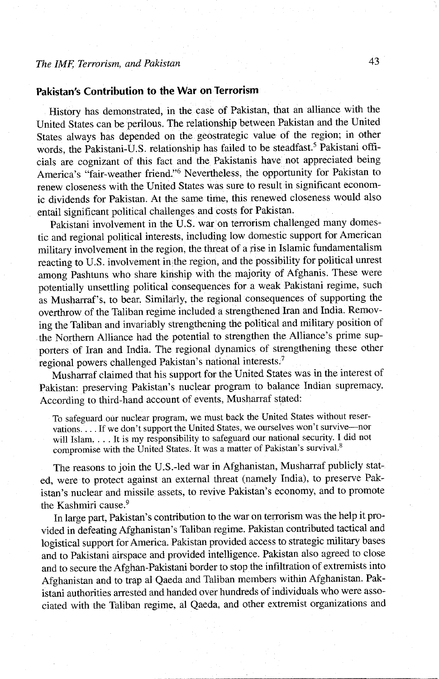# **Pakistan's Contribution to the War on Terrorism**

History has demonstrated, in the case of Pakistan, that an alliance with the United States can be perilous. The relationship between Pakistan and the United States always has depended on the geostrategic value of the region; in other words, the Pakistani-U.S. relationship has failed to be steadfast.<sup>5</sup> Pakistani officials are cognizant of this fact and the Pakistanis have not appreciated being America's "fair-weather friend."<sup>6</sup> Nevertheless, the opportunity for Pakistan to renew closeness with the United States was sure to result in significant economic dividends for Pakistan. At the same time, this renewed closeness would also entail significant political challenges and costs for Pakistan.

Pakistani involvement in the U.S. war on terrorism challenged many domestic and regional political interests, including low domestic support for American military involvement in the region, the threat of a rise in Islamic fundamentalism reacting to U.S. involvement in the region, and the possibility for political unrest among Pashtuns who share kinship with the majority of Afghanis. These were potentially unsettling political consequences for a weak Pakistani regime, such as Musharraf's, to bear. Similarly, the regional consequences of supporting the overthrow of the Taliban regime included a strengthened Iran and India. Removing the Taliban and invariably strengthening the political and military position of the Northern Alliance had the potential to strengthen the Alliance's prime supporters of Iran and India. The regional dynamics of strengthening these other regional powers challenged Pakistan's national interests.<sup>7</sup>

Musharraf claimed that his support for the United States was in the interest of Pakistan: preserving Pakistan's nuclear program to balance Indian supremacy. According to third-hand account of events, Musharraf stated:

To safeguard our nuclear program, we must back the United States without reservations .... If we don't support the United States, we ourselves won't survive-nor will Islam, ... It is my responsibility to safeguard our national security. I did not compromise with the United States. It was a matter of Pakistan's survival.<sup>8</sup>

The reasons to join the U.S.-led war in Afghanistan, Musharraf publicly stated, were to protect against an extemal threat (namely India), to preserve Pakistan's nuclear and missile assets, to revive Pakistan's economy, and to promote the Kashmiri cause. <sup>9</sup>

In large part, Pakistan's contribution to the war on terrorism was the help it provided in defeating Afghanistan's Taliban regime. Pakistan contributed tactical and logistical support for America. Pakistan provided access to strategic military bases and to Pakistani airspace and provided intelligence. Pakistan also agreed to close and to secure the Afghan-Pakistani border to stop the infiltration of extremists into Afghanistan and to trap al Qaeda and Taliban members within Afghanistan. Pakistani authorities arrested and handed over hundreds of individuals who were associated with the Taliban regime, al Qaeda, and other extremist organizations and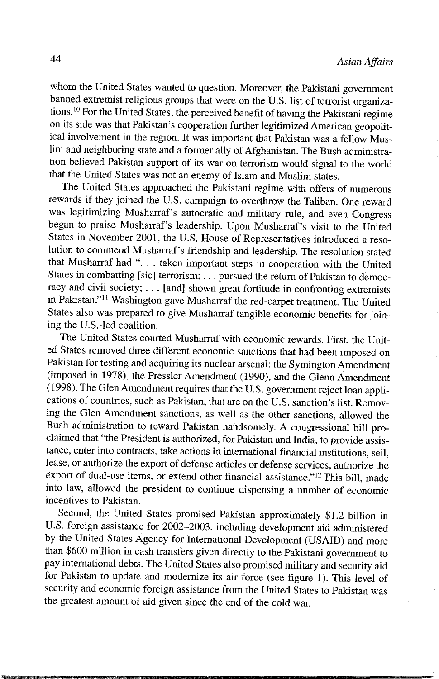whom the United States wanted to question. Moreover, the Pakistani government banned extremist religious groups that were on the U.S. list of terrorist organizations. ' <sup>0</sup> For the United States, the perceived benefit of having the Pakistani regime on its side was that Pakistan's cooperation further legitimized American geopolitical involvement in the region. It was important that Pakistan was a fellow Muslim and neighboring state and a former ally of Afghanistan. The Bush administration believed Pakistan support of its war on terrorism would signal to the world that the United States was not an enemy of Islam and Muslim states.

The United States approached the Pakistani regime with offers of numerous rewards if they joined the U.S. campaign to overthrow the Taliban. One reward was legitimizing Musharraf's autocratic and military rule, and even Congress began to praise Musharraf's leadership. Upon Musharraf's visit to the United States in November 2001, the U.S. House of Representatives introduced a resolution to commend Musharraf's friendship and leadership. The resolution stated that Musharraf had ". . . taken important steps in cooperation with the United States in combatting [sic] terrorism; . .. pursued the return of Pakistan to democracy and civil society; . . . [and] shown great fortitude in confronting extremists in Pakistan."<sup>11</sup> Washington gave Musharraf the red-carpet treatment. The United States also was prepared to give Musharraf tangible economic benefits for joining the U.S.-led coalition.

The United States courted Musharraf with economic rewards. First, the United States removed three different economic sanctions that had been imposed on Pakistan for testing and acquiring its nuclear arsenal: the Symington Amendment (imposed in 1978), the Pressler Amendment (1990), and the Glenn Amendment (1998). The Glen Amendment requires that the U.S. government reject loan applications of countries, such as Pakistan, that are on the U.S. sanction's list. Removing the Glen Amendment sanctions, as well as the other sanctions, allowed the Bush administration to reward Pakistan handsomely. A congressional bill proclaimed that "the President is authorized, for Pakistan and India, to provide assistance, enter into contracts, take actions in international financial institutions, sell, lease, or authorize the export of defense articles or defense services, authorize the export of dual-use items, or extend other financial assistance."<sup>12</sup> This bill, made into law, allowed the president to continue dispensing a number of economic incentives to Pakistan.

Second, the United States promised Pakistan approximately \$1.2 billion in U.S. foreign assistance for 2002-2003, including development aid administered by the United States Agency for International Development (USAID) and more than \$600 million in cash transfers given directly to the Pakistani government to pay international debts. The United States also promised military and security aid for Pakistan to update and modernize its air force (see figure 1). This level of security and economic foreign assistance from the United States to Pakistan was the greatest amount of aid given since the end of the cold war.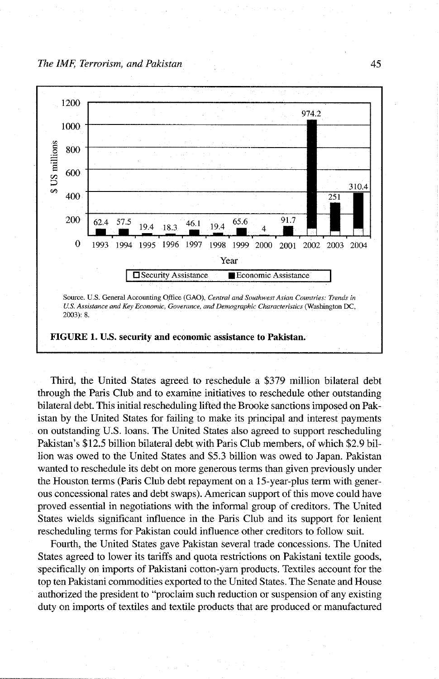



Third, the United States agreed to reschedule a \$379 million bilateral debt through the Paris Club and to examine initiatives to reschedule other outstanding bilateral debt. This initial rescheduling lifted the Brooke sanctions imposed on Pakistan by the United States for failing to make its principal and interest payments on outstanding U.S. loans. The United States also agreed to support rescheduling Pakistan's \$12.5 billion bilateral debt with Paris Club members, of which \$2.9 billion was owed to the United States and \$5.3 billion was owed to Japan. Pakistan wanted to reschedule its debt on more generous terms than given previously under the Houston terms (Paris Club debt repayment on a 15-year-plus term with generous concessional rates and debt swaps). American support of this move could have proved essential in negotiations with the informal group of creditors. The United States wields significant influence in the Paris Club and its support for lenient rescheduling terms for Pakistan could influence other creditors to follow suit.

Fourth, the United States gave Pakistan several trade concessions. The United States agreed to lower its tariffs and quota restrictions on Pakistani textile goods, specifically on imports of Pakistani cotton-yarn products. Textiles account for the top ten Pakistani commodities exported to the United States. The Senate and House authorized the president to "proclaim such reduction or suspension of any existing duty on imports of textiles and textile products that are produced or manufactured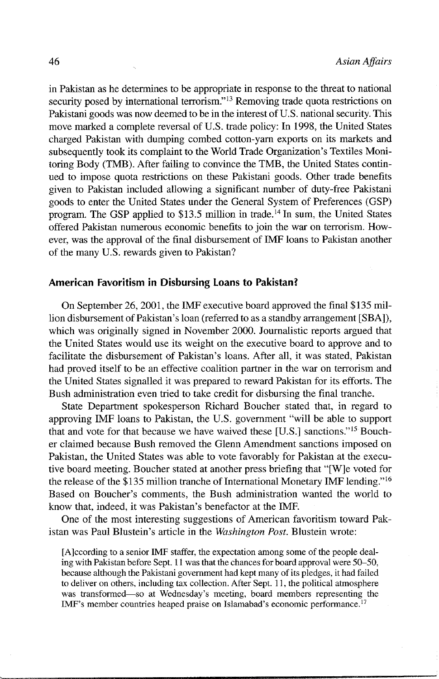in Pakistan as he determines to be appropriate in response to the threat to national security posed by international terrorism."<sup>13</sup> Removing trade quota restrictions on Pakistani goods was now deemed to be in the interest of U.S. national security. This move marked a complete reversal of U.S. trade policy: In 1998, the United States charged Pakistan with dumping combed cotton-yam exports on its markets and subsequently took its complaint to the World Trade Organization's Textiles Monitoring Body (TMB). After failing to convince the TMB, the United States continued to impose quota restrictions on these Pakistani goods. Other trade benefits given to Pakistan included allowing a significant number of duty-free Pakistani goods to enter the United States under the General System of Preferences (GSP) program. The GSP applied to  $$13.5$  million in trade.<sup>14</sup> In sum, the United States offered Pakistan numerous economic benefits to join the war on terrorism. However, was the approval of the final disbursement of IMF loans to Pakistan another of the many U.S. rewards given to Pakistan?

#### **American Favoritism in Disbursing Loans to Pakistan?**

On September 26, 2001, the IMF executive board approved the final \$135 million disbursement of Pakistan's loan (referred to as a standby arrangement [SBA]), which was originally signed in November 2000. Journalistic reports argued that the United States would use its weight on the executive board to approve and to facilitate the disbursement of Pakistan's loans. After all, it was stated, Pakistan had proved itself to be an effective coalition partner in the war on terrorism and the United States signalled it was prepared to reward Pakistan for its efforts. The Bush administration even tried to take credit for disbursing the final tranche.

State Department spokesperson Richard Boucher stated that, in regard to approving IMF loans to Pakistan, the U.S. govemment "will be able to support that and vote for that because we have waived these [U.S.] sanctions."<sup>15</sup> Boucher claimed because Bush removed the Glenn Amendment sanctions imposed on Pakistan, the United States was able to vote favorably for Pakistan at the executive board meeting. Boucher stated at another press briefing that "[W]e voted for the release of the \$135 million tranche of International Monetary IMF lending."16 Based on Boucher's comments, the Bush administration wanted the world to know that, indeed, it was Pakistan's benefactor at the IMF.

One of the most interesting suggestions of American favoritism toward Pakistan was Paul Blustein's article in the *Washington Post.* Blustein wrote:

[A]ccording to a senior IMF staffer, the expectation among some of the people dealing with Pakistan before Sept. 11 was that the chances for board approval were 50-50, because although the Pakistani govemment had kept many of its pledges, it had failed to deliver on others, including tax collection. After Sept. 11, the political atmosphere was transformed-so at Wednesday's meeting, board members representing the IMF's member countries heaped praise on Islamabad's economic performance.<sup>17</sup>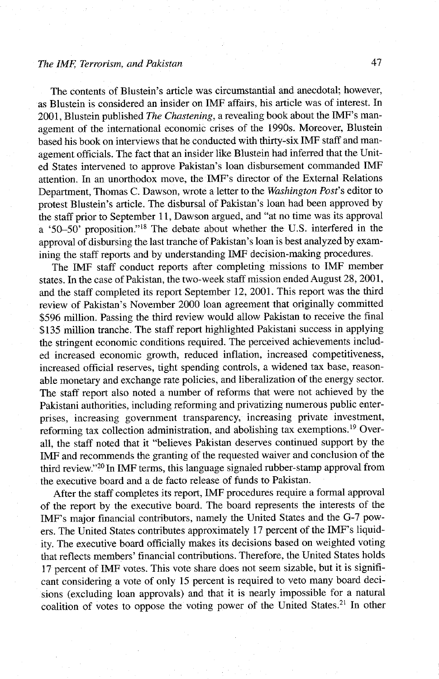#### *The IMF, Terrorism, and Pakistan*

The contents of Blustein's article was circumstantial and anecdotal; however, as Blustein is considered an insider on IMF affairs, his article was of interest. In 2001, Blustein published *The Chastening,* a revealing book about the IMF's management of the international economic crises of the 1990s. Moreover, Blustein based his book on interviews that he conducted with thirty-six IMF staff and management officials. The fact that an insider like Blustein had inferred that the United States intervened to approve Pakistan's loan disbursement commanded IMF attention. In an unorthodox move, the IMF's director of the External Relations Department, Thomas C. Dawson, wrote a letter to the *Washington Post's* editor to protest Blustein's article. The disbursal of Pakistan's loan had been approved by the staff prior to September 11, Dawson argued, and "at no time was its approval a '50-50' proposition."<sup>18</sup> The debate about whether the U.S. interfered in the approval of disbursing the last tranche of Pakistan's loan is best analyzed by examining the staff reports and by understanding IMF decision-making procedures.

The IMF staff conduct reports after completing missions to IMF member states. In the case of Pakistan, the two-week staff mission ended August 28, 2001, and the staff completed its report September 12, 2001. This report was the third review of Pakistan's November 2000 loan agreement that originally committed \$596 million. Passing the third review would allow Pakistan to receive the final \$135 million tranche. The staff report highlighted Pakistani success in applying the stringent economic conditions required. The perceived achievements included increased economic growth, reduced inflation, increased competitiveness, increased official reserves, tight spending controls, a widened tax base, reasonable monetary and exchange rate policies, and liberalization of the energy sector. The staff report also noted a number of reforms that were not achieved by the Pakistani authorities, including reforming and privatizing numerous public enterprises, increasing government transparency, increasing private investment, reforming tax collection administration, and abolishing tax exemptions.<sup>19</sup> Overall, the staff noted that it "believes Pakistan deserves continued support by the IMF and recommends the granting of the requested waiver and conclusion of the third review."<sup>20</sup> In IMF terms, this language signaled rubber-stamp approval from the executive board and a de facto release of funds to Pakistan.

After the staff completes its report, IMF procedures require a formal approval of the report by the executive board. The board represents the interests of the IMF's major financial contributors, namely the United States and the G-7 powers. The United States contributes approximately 17 percent of the IMF's liquidity. The executive board officially makes its decisions based on weighted voting that reflects members' financial contributions. Therefore, the United States holds 17 percent of IMF votes. This vote share does not seem sizable, but it is significant considering a vote of only 15 percent is required to veto many board decisions (excluding loan approvals) and that it is nearly impossible for a natural coalition of votes to oppose the voting power of the United States.<sup>21</sup> In other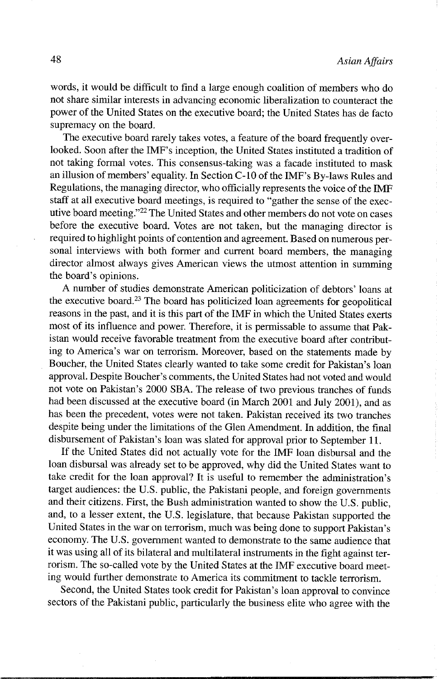words, it would be difficult to find a large enough coalition of members who do not share similar interests in advancing economic liberalization to counteract the power of the United States on the executive board; the United States has de facto supremacy on the board.

The executive board rarely takes votes, a feature of the board frequently overlooked. Soon after the IMF's inception, the United States instituted a tradition of not taking formal votes. This consensus-taking was a facade instituted to mask an illusion of members' equality. In Section C-10 of the IMF's By-laws Rules and Regulations, the managing director, who officially represents the voice of the IMF staff at all executive board meetings, is required to "gather the sense of the executive board meeting."<sup>22</sup> The United States and other members do not vote on cases before the executive board. Votes are not taken, but the managing director is required to highlight points of contention and agreement. Based on numerous personal interviews with both former and current board members, the managing director almost always gives American views the utmost attention in summing the board's opinions.

A number of studies demonstrate American politicization of debtors' loans at the executive board.<sup>23</sup> The board has politicized loan agreements for geopolitical reasons in the past, and it is this part of the IMF in which the United States exerts most of its influence and power. Therefore, it is permissable to assume that Pakistan would receive favorable treatment from the executive board after contributing to America's war on terrorism. Moreover, based on the statements made by Boucher, the United States clearly wanted to take some credit for Pakistan's loan approval. Despite Boucher's comments, the United States had not voted and would not vote on Pakistan's 2000 SBA. The release of two previous tranches of funds had been discussed at the executive board (in March 2001 and July 2001), and as has been the precedent, votes were not taken. Pakistan received its two tranches despite being under the limitations of the Glen Amendment. In addition, the final disbursement of Pakistan's loan was slated for approval prior to September 11.

If the United States did not actually vote for the IMF loan disbursal and the loan disbursal was already set to be approved, why did the United States want to take credit for the loan approval? It is useful to remember the administration's target audiences: the U.S. public, the Pakistani people, and foreign govemments and their citizens. First, the Bush administration wanted to show the U.S. public, and, to a lesser extent, the U.S. legislature, that because Pakistan supported the United States in the war on terrorism, much was being done to support Pakistan's economy. The U.S. govemment wanted to demonstrate to the same audience that it was using all of its bilateral and multilateral instruments in the fight against terrorism. The so-called vote by the United States at the IMF executive board meeting would further demonstrate to America its commitment to tackle terrorism.

Second, the United States took credit for Pakistan's loan approval to convince sectors of the Pakistani public, particularly the business elite who agree with the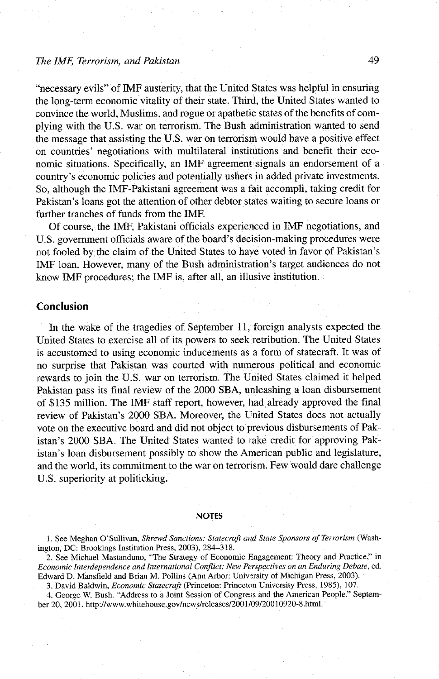# *The IMF, Terrorism, and Pakistan*

"necessary evils" of IMF austerity, that the United States was helpful in ensuring the long-term economic vitality of their state. Third, the United States wanted to convince the world, Muslims, and rogue or apathetic states of the benefits of complying with the U.S. war on terrorism. The Bush administration wanted to send the message that assisting the U.S. war on terrorism would have a positive effect on countries' negotiations with multilateral institutions and benefit their economic situations. Specifically, an IMF agreement signals an endorsement of a country's economic policies and potentially ushers in added private investments. So, although the IMF-Pakistani agreement was a fait accompli, taking credit for Pakistan's loans got the attention of other debtor states waiting to secure loans or further tranches of funds from the IMF.

Of course, the IMF, Pakistani officials experienced in IMF negotiations, and U.S. government officials aware of the board's decision-making procedures were not fooled by the claim of the United States to have voted in favor of Pakistan's IMF loan. However, many of the Bush administration's target audiences do not know IMF procedures; the IMF is, after all, an illusive institution.

### **Conclusion**

In the wake of the tragedies of September 11, foreign analysts expected the United States to exercise all of its powers to seek retribution. The United States is accustomed to using economic inducements as a form of statecraft. It was of no surprise that Pakistan was courted with numerous political and economic rewards to join the U.S. war on terrorism. The United States claimed it helped Pakistan pass its final review of the 2000 SBA, unleashing a loan disbursement of \$135 million. The IMF staff report, however, had already approved the final review of Pakistan's 2000 SBA. Moreover, the United States does not actually vote on the executive board and did not object to previous disbursements of Pakistan's 2000 SBA. The United States wanted to take credit for approving Pakistan's loan disbursement possibly to show the American public and legislature, and the world, its commitment to the war on terrorism. Few would dare challenge U.S. superiority at politicking.

#### **NOTES**

**1.** See Meghan O'Sullivan, *Shrewd Sanctions: Statecraft and State Sponsors of Terrorism* (Washington, DC: Brookings Institution Press, 2003), 284-318.

2. See Michael Mastanduno, "The Strategy of Economic Engagement: Theory and Practice," in *Economic Interdependence and International Conflict: New Perspectives on an Enduring Debate,* ed. Edward D. Mansfield and Brian M. Pollins (Ann Arbor: University of Michigan Press, 2003).

3. David Baldwin, *Economic Statecraft* (Princeton: Princeton University Press, 1985), 107.

4. George W. Bush. "Address to a Joint Session of Congress and the American People." September 20, 2001. http://www.whitehouse.gov/news/releases/2001/09/20010920-8.html.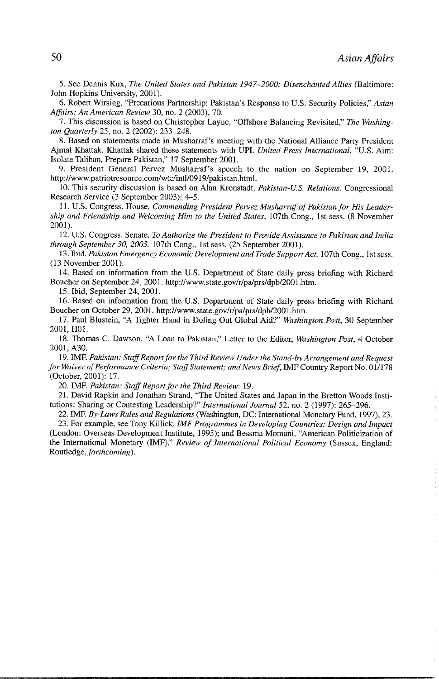5. See Dennis Kux, *The United States and Pakistan 1947-2000: Disenchanted Allies* (Baltimore: John Hopkins University, 2001).

6. Robert Wirsing, "Precarious Partnership: Pakistan's Response to U.S. Security Policies," *Asian Affairs: An American Review* 30, no. 2 (2003), 70.

7. This discussion is based on Christopher Layne, "Offshore Balancing Revisited," *The Washington Quarterly* 25, no. 2 (2002): 233-248.

8. Based on statements made in Musharraf's meeting with the National Alliance Party President Ajmal Kbattak. Khattak shared these statements with UPI. *United Press International,* "U.S. Aim: Isolate Taliban, Prepare Pakistan," 17 September 2001.

9. President General Pervez Musharraf's speech to the nation on September 19, 2001. http://www.patriotresource.com/wtc/intl/0919/pakistan.html.

10. This security discussion is based on Alan Kronstadt, *Pakistan-U.S. Relations.* Congressional Research Service (3 September 2003): 4-5.

11. U.S. Congress. House. *Commending President Pervez Musharraf of Pakistan for His Leadership and Friendship and Welcoming Him to the United States,* 107th Cong., 1st sess. (8 November 2001).

12. U.S. Congress. Senate. *To Authorize the President to Provide Assistance to Pakistan and India through September 30, 2003.* 107th Cong., 1st sess. (25 September 2001).

13. Ibid. *Pakistan Emergency Economic Development and Trade SupportAct.* 107th Cong., 1st sess. (13 November 2001).

14. Based on information from the U.S. Department of State daily press briefing with Richard Boucher on September 24, 2001. http://www.state.gov/r/pa/prs/dpb/2001.htm.

15. Ibid, September 24, 2001.

16. Based on information from the U.S. Department of State daily press briefing with Richard Boucher on October 29, 2001. http://www.state.gov/r/pa/prs/dpb/2001.htm.

17. Paul Blustein, "A Tighter Hand in Doling Out Global Aid?" *Washington Post,* 30 September 2001, HO1.

18. Thomas C. Dawson, "A Loan to Pakistan," Letter to the Editor, *Washington Post,* 4 October 2001, A30.

19. IMF. *Pakistan: StaffReport for the Third Review Under the Stand -by Arrangement and Request for Waiver of Performance Criteria; Staff Statement; and News Brief,* IMF Country Report No. 01/178 (October, 2001): 17.

20. IMF. Pakistan: Staff Report for the Third Review: 19.

21. David Rapkin and Jonathan Strand, "The United States and Japan in the Bretton Woods Institutions: Sharing or Contesting Leadership?" *International Journal* 52, no. 2 (1997): 265-296.

22. IMF. *By-Laws Rules and Regulations* (Washington, DC: Intemational Monetary Fund, 1997), 23.

23. For example, see Tony Killick, *IMF Programmes in Developing Countries: Design and Impact* (London: Overseas Development Institute, 1995); and Bessma Momani, "American Politicization of the International Monetary (IMF)," *Review of International Political Economy* (Sussex, England: Routledge, *forthcoming).*